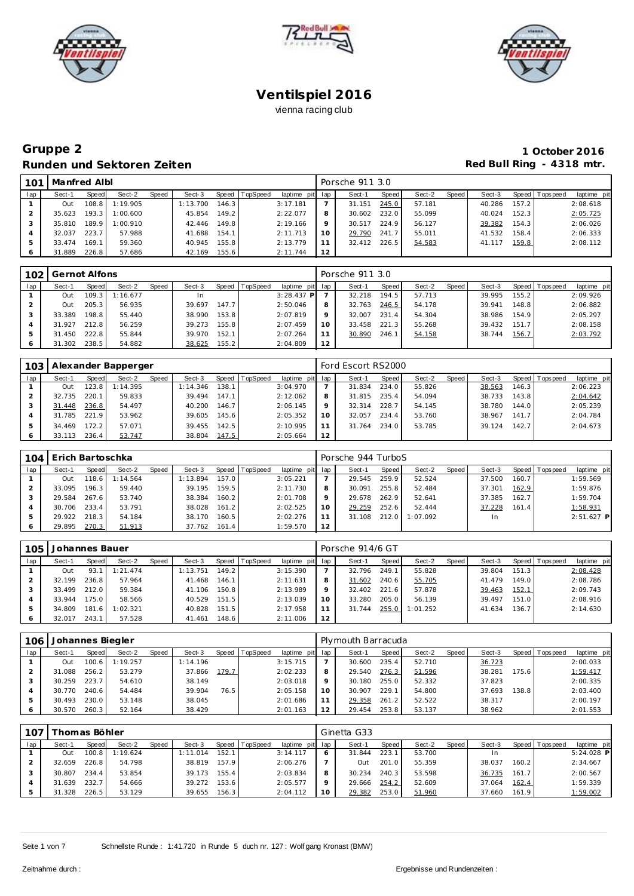





# **Gruppe 2 1 October 2016** Runden und Sektoren Zeiten **aber auch der Einer Einer Erne** der Red Bull Ring - 4318 mtr.

| 101 | Manfred Albl |       |          |       |          |       |                |                 |    | Porsche 911 3.0 |       |        |       |        |       |                |             |
|-----|--------------|-------|----------|-------|----------|-------|----------------|-----------------|----|-----------------|-------|--------|-------|--------|-------|----------------|-------------|
| lap | Sect-1       | Speed | Sect-2   | Speed | Sect-3   |       | Speed TopSpeed | laptime pit lap |    | Sect-1          | Speed | Sect-2 | Speed | Sect-3 |       | Speed Topspeed | laptime pit |
|     | Out          | 108.8 | 1:19.905 |       | 1:13.700 | 146.3 |                | 3:17.181        |    | 31.151          | 245.0 | 57.181 |       | 40.286 | 157.2 |                | 2:08.618    |
|     | 35.623       | 193.3 | 1:00.600 |       | 45.854   | 149.2 |                | 2:22.077        |    | 30.602          | 232.0 | 55.099 |       | 40.024 | 152.3 |                | 2:05.725    |
|     | 35.810       | 189.9 | 1:00.910 |       | 42.446   | 149.8 |                | 2:19.166        |    | 30.517          | 224.9 | 56.127 |       | 39.382 | 154.3 |                | 2:06.026    |
| 4   | 32.037       | 223.7 | 57.988   |       | 41.688   | 154.1 |                | 2:11.713        | 10 | 29.790          | 241.7 | 55.011 |       | 41.532 | 158.4 |                | 2:06.333    |
|     | 33.474       | 169.1 | 59.360   |       | 40.945   | 155.8 |                | 2:13.779        |    | 32.412          | 226.5 | 54.583 |       | 41.117 | 159.8 |                | 2:08.112    |
|     | 31.889       | 226.8 | 57.686   |       | 42.169   | 155.6 |                | 2:11.744        | 12 |                 |       |        |       |        |       |                |             |

| 102 | Gernot Alfons |       |          |       |        |       |          |                 |         | Porsche 911 3.0 |         |        |       |        |       |                |             |
|-----|---------------|-------|----------|-------|--------|-------|----------|-----------------|---------|-----------------|---------|--------|-------|--------|-------|----------------|-------------|
| lap | Sect-1        | Speed | Sect-2   | Speed | Sect-3 | Speed | TopSpeed | laptime pit lap |         | Sect-1          | Speed I | Sect-2 | Speed | Sect-3 |       | Speed Topspeed | laptime pit |
|     | Out           | 109.3 | 1:16.677 |       |        |       |          | $3:28.437$ P    |         | 32.218          | 194.5   | 57.713 |       | 39.995 | 155.2 |                | 2:09.926    |
|     | Out           | 205.3 | 56.935   |       | 39.697 | 147.7 |          | 2:50.046        | 8       | 32.763          | 246.5   | 54.178 |       | 39.941 | 148.8 |                | 2:06.882    |
|     | 33.389        | 198.8 | 55.440   |       | 38.990 | 153.8 |          | 2:07.819        | $\circ$ | 32.007          | 231.4   | 54.304 |       | 38.986 | 154.9 |                | 2:05.297    |
|     | 31.927        | 212.8 | 56.259   |       | 39.273 | 155.8 |          | 2:07.459        | 10      | 33.458          | 221.3   | 55.268 |       | 39.432 | 151.7 |                | 2:08.158    |
| 5   | 31.450        | 222.8 | 55.844   |       | 39.970 | 152.1 |          | 2:07.264        |         | 30.890          | 246.7   | 54.158 |       | 38.744 | 156.7 |                | 2:03.792    |
|     | 31.302        | 238.5 | 54.882   |       | 38.625 | 155.2 |          | 2:04.809        | 12      |                 |         |        |       |        |       |                |             |

|     |        |        | Alexander Bapperger |       |          |       |          |                 |    | Ford Escort RS2000 |       |        |       |        |       |                   |             |
|-----|--------|--------|---------------------|-------|----------|-------|----------|-----------------|----|--------------------|-------|--------|-------|--------|-------|-------------------|-------------|
| lap | Sect-1 | Speed  | Sect-2              | Speed | Sect-3   | Speed | TopSpeed | laptime pit lap |    | Sect-1             | Speed | Sect-2 | Speed | Sect-3 |       | Speed   Tops peed | laptime pit |
|     | Out    | 123.81 | 1:14.395            |       | 1:14.346 | 138.1 |          | 3:04.970        |    | 31.834             | 234.0 | 55.826 |       | 38.563 | 146.3 |                   | 2:06.223    |
|     | 32.735 | 220.1  | 59.833              |       | 39.494   | 147.1 |          | 2:12.062        |    | 31.815             | 235.4 | 54.094 |       | 38.733 | 143.8 |                   | 2:04.642    |
|     | 31.448 | 236.8  | 54.497              |       | 40.200   | 146.7 |          | 2:06.145        |    | 32.314             | 228.7 | 54.145 |       | 38.780 | 144.0 |                   | 2:05.239    |
|     | 31.785 | 221.9  | 53.962              |       | 39.605   | 145.6 |          | 2:05.352        | 10 | 32.057             | 234.4 | 53.760 |       | 38.967 | 141.7 |                   | 2:04.784    |
|     | 34.469 | 172.2  | 57.071              |       | 39.455   | 142.5 |          | 2:10.995        |    | 31.764             | 234.0 | 53.785 |       | 39.124 | 142.7 |                   | 2:04.673    |
|     | 33.113 | 236.4  | 53.747              |       | 38.804   | 147.5 |          | 2:05.664        | 12 |                    |       |        |       |        |       |                   |             |

| 104 | l Erich Bartoschka |       |          |       |          |       |                |                 |    | Porsche 944 TurboS |       |          |       |        |       |                |              |
|-----|--------------------|-------|----------|-------|----------|-------|----------------|-----------------|----|--------------------|-------|----------|-------|--------|-------|----------------|--------------|
| lap | Sect-1             | Speed | Sect-2   | Speed | Sect-3   |       | Speed TopSpeed | laptime pit lap |    | Sect-1             | Speed | Sect-2   | Speed | Sect-3 |       | Speed Topspeed | laptime pit  |
|     | Out                | 118.6 | 1:14.564 |       | 1:13.894 | 157.0 |                | 3:05.221        |    | 29.545             | 259.9 | 52.524   |       | 37.500 | 160.7 |                | 1:59.569     |
|     | 33.095             | 196.3 | 59.440   |       | 39.195   | 159.5 |                | 2:11.730        |    | 30.091             | 255.8 | 52.484   |       | 37.301 | 162.9 |                | 1:59.876     |
|     | 29.584             | 267.6 | 53.740   |       | 38.384   | 160.2 |                | 2:01.708        |    | 29.678             | 262.9 | 52.641   |       | 37.385 | 162.7 |                | 1:59.704     |
|     | 30.706             | 233.4 | 53.791   |       | 38.028   | 161.2 |                | 2:02.525        | 10 | 29.259             | 252.6 | 52.444   |       | 37.228 | 161.4 |                | 1:58.931     |
|     | 29.922             | 218.3 | 54.184   |       | 38.170   | 160.5 |                | 2:02.276        |    | 31.108             | 212.0 | 1:07.092 |       | In.    |       |                | $2:51.627$ P |
|     | 29.895             | 270.3 | 51.913   |       | 37.762   | 161.4 |                | 1:59.570        | 12 |                    |       |          |       |        |       |                |              |

| 105 | Johannes Bauer |       |          |       |          |       |                 |                 |    | Porsche 914/6 GT |       |          |       |        |       |                |             |
|-----|----------------|-------|----------|-------|----------|-------|-----------------|-----------------|----|------------------|-------|----------|-------|--------|-------|----------------|-------------|
| lap | Sect-1         | Speed | Sect-2   | Speed | Sect-3   | Speed | <b>TopSpeed</b> | laptime pit lap |    | Sect-1           | Speed | Sect-2   | Speed | Sect-3 |       | Speed Topspeed | laptime pit |
|     | Out            | 93.   | 1:21.474 |       | 1:13.751 | 149.2 |                 | 3:15.390        |    | 32.796           | 249.1 | 55.828   |       | 39.804 | 151.3 |                | 2:08.428    |
|     | 32.199         | 236.8 | 57.964   |       | 41.468   | 146.1 |                 | 2:11.631        | 8  | 31.602           | 240.6 | 55.705   |       | 41.479 | 149.0 |                | 2:08.786    |
|     | 33.499         | 212.0 | 59.384   |       | 41.106   | 150.8 |                 | 2:13.989        |    | 32.402           | 221.6 | 57.878   |       | 39.463 | 152.1 |                | 2:09.743    |
|     | 33.944         | 175.0 | 58.566   |       | 40.529   | 151.5 |                 | 2:13.039        | 10 | 33.280           | 205.0 | 56.139   |       | 39.497 | 151.0 |                | 2:08.916    |
|     | 34.809         | 181.6 | 1:02.321 |       | 40.828   | 151.5 |                 | 2:17.958        |    | 31.744           | 255.0 | 1:01.252 |       | 41.634 | 136.7 |                | 2:14.630    |
|     | 32.017         | 243.1 | 57.528   |       | 41.461   | 148.6 |                 | 2:11.006        | 12 |                  |       |          |       |        |       |                |             |

| 106 | Johannes Biegler |       |          |       |          |       |                |                 |    | Plymouth Barracuda |       |        |       |        |       |                |             |
|-----|------------------|-------|----------|-------|----------|-------|----------------|-----------------|----|--------------------|-------|--------|-------|--------|-------|----------------|-------------|
| lap | Sect-1           | Speed | Sect-2   | Speed | Sect-3   |       | Speed TopSpeed | laptime pit lap |    | Sect-1             | Speed | Sect-2 | Speed | Sect-3 |       | Speed Topspeed | laptime pit |
|     | Out              | 100.6 | 1:19.257 |       | 1:14.196 |       |                | 3:15.715        |    | 30.600             | 235.4 | 52.710 |       | 36.723 |       |                | 2:00.033    |
|     | 31.088           | 256.2 | 53.279   |       | 37.866   | 179.7 |                | 2:02.233        |    | 29.540             | 276.3 | 51.596 |       | 38.281 | 175.6 |                | 1:59.417    |
|     | 30.259           | 223.7 | 54.610   |       | 38.149   |       |                | 2:03.018        |    | 30.180             | 255.0 | 52.332 |       | 37.823 |       |                | 2:00.335    |
|     | 30.770           | 240.6 | 54.484   |       | 39.904   | 76.5  |                | 2:05.158        | 10 | 30.907             | 229.1 | 54.800 |       | 37.693 | 138.8 |                | 2:03.400    |
|     | 30.493           | 230.0 | 53.148   |       | 38.045   |       |                | 2:01.686        |    | 29.358             | 261.2 | 52.522 |       | 38.317 |       |                | 2:00.197    |
|     | 30.570           | 260.3 | 52.164   |       | 38.429   |       |                | 2:01.163        |    | 29.454             | 253.8 | 53.137 |       | 38.962 |       |                | 2:01.553    |

| 107 |            | Thomas Böhler |           |       |        |                    |                |                 |         | Ginetta G33 |       |        |       |        |       |                 |              |
|-----|------------|---------------|-----------|-------|--------|--------------------|----------------|-----------------|---------|-------------|-------|--------|-------|--------|-------|-----------------|--------------|
| lap | Sect-1     | Speed         | Sect-2    | Speed | Sect-3 |                    | Speed TopSpeed | laptime pit lap |         | $Sect-4$    | Speed | Sect-2 | Speed | Sect-3 |       | Speed Tops peed | laptime pit  |
|     | Out        | 100.8         | I: 19.624 |       | 11.014 | 152.1              |                | 3:14.117        | 6       | 31.844      | 223.1 | 53.700 |       | In     |       |                 | $5:24.028$ P |
|     | 32.659     | 226.8         | 54.798    |       | 38.819 | 157.9              |                | 2:06.276        |         | Out         | 201.0 | 55.359 |       | 38.037 | 160.2 |                 | 2:34.667     |
|     | 30.807     | 234.4         | 53.854    |       | 39.173 | 155.4              |                | 2:03.834        | 8       | 30.234      | 240.3 | 53.598 |       | 36.735 | 161.7 |                 | 2:00.567     |
|     | 31.639     | 232.          | 54.666    |       | 39.272 | 153.6              |                | 2:05.577        | $\circ$ | 29.666      | 254.2 | 52.609 |       | 37.064 | 162.4 |                 | 1:59.339     |
|     | .328<br>31 | 226.5         | 53.129    |       | 39.655 | 156.3 <sub>1</sub> |                | 2:04.112        | 10      | 29.382      | 253.0 | 51.960 |       | 37.660 | 161.9 |                 | 1:59.002     |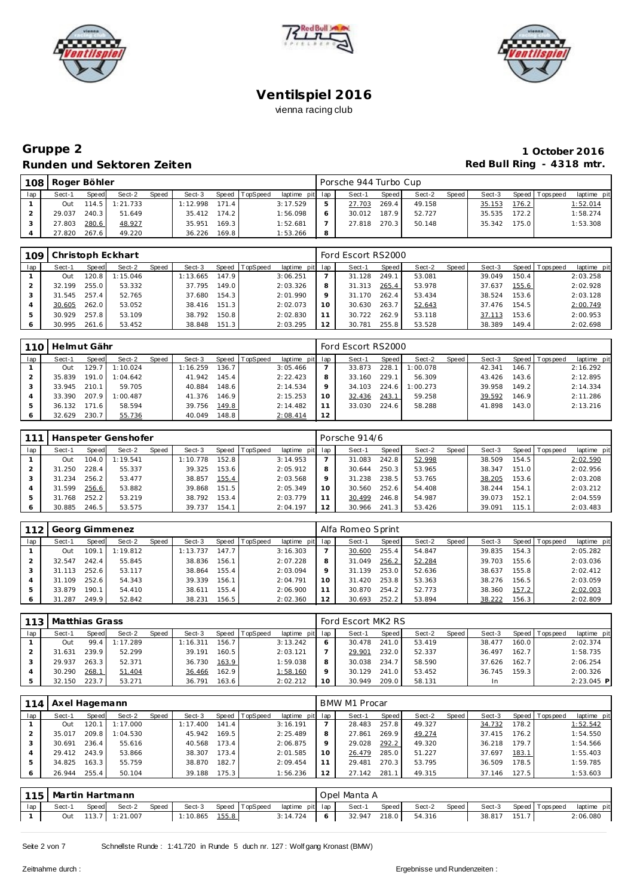





# **Gruppe 2 1 October 2016** Runden und Sektoren Zeiten **Runden und Sektoren Zeiten Red Bull Ring - 4318 mtr.**

| 108 | Roger Böhler |       |                  |       |              |       |                |                 |   | Porsche 944 Turbo Cup |         |        |         |        |       |                 |             |
|-----|--------------|-------|------------------|-------|--------------|-------|----------------|-----------------|---|-----------------------|---------|--------|---------|--------|-------|-----------------|-------------|
| lap | Sect-1       | Speed | Sect-2           | Speed | Sect-3       |       | Speed TopSpeed | laptime pit lap |   | Sect-1                | Speed I | Sect-2 | Speed I | Sect-3 |       | Speed Tops peed | laptime pit |
|     | Out          |       | $114.5$ 1:21.733 |       | :12.998      | 171.4 |                | 3:17.529        |   | 27.703                | 269.4   | 49.158 |         | 35.153 | 176.2 |                 | 1:52.014    |
|     | 29.037       | 240.3 | 51.649           |       | 35.412 174.2 |       |                | 1:56.098        |   | 30.012 187.9          |         | 52.727 |         | 35.535 | 172.2 |                 | 1:58.274    |
|     | 27.803       | 280.6 | 48.927           |       | 35.951       | 169.3 |                | 1:52.681        |   | 27.818                | 270.3   | 50.148 |         | 35.342 | 175.0 |                 | 1:53.308    |
|     | 27.820       | 267.6 | 49.220           |       | 36.226       | 169.8 |                | 1:53.266        | 8 |                       |         |        |         |        |       |                 |             |

| 109 |        |       | Christoph Eckhart |       |          |       |                |                 |     | Ford Escort RS2000 |       |        |       |        |       |                |             |
|-----|--------|-------|-------------------|-------|----------|-------|----------------|-----------------|-----|--------------------|-------|--------|-------|--------|-------|----------------|-------------|
| lap | Sect-1 | Speed | Sect-2            | Speed | Sect-3   |       | Speed TopSpeed | laptime pit lap |     | Sect-1             | Speed | Sect-2 | Speed | Sect-3 |       | Speed Topspeed | laptime pit |
|     | Out    | 20.8  | 1:15.046          |       | 1:13.665 | 147.9 |                | 3:06.251        |     | 31.128             | 249.1 | 53.081 |       | 39.049 | 150.4 |                | 2:03.258    |
|     | 32.199 | 255.0 | 53.332            |       | 37.795   | 149.0 |                | 2:03.326        | 8   | 31.313             | 265.4 | 53.978 |       | 37.637 | 155.6 |                | 2:02.928    |
|     | 31.545 | 257.4 | 52.765            |       | 37.680   | 154.3 |                | 2:01.990        |     | 31.170             | 262.4 | 53.434 |       | 38.524 | 153.6 |                | 2:03.128    |
|     | 30.605 | 262.0 | 53.052            |       | 38.416   | 151.3 |                | 2:02.073        | 1 O | 30.630             | 263.7 | 52.643 |       | 37.476 | 154.5 |                | 2:00.749    |
|     | 30.929 | 257.8 | 53.109            |       | 38.792   | 150.8 |                | 2:02.830        |     | 30.722             | 262.9 | 53.118 |       | 37.113 | 153.6 |                | 2:00.953    |
|     | 30.995 | 261.6 | 53.452            |       | 38.848   | 151.3 |                | 2:03.295        |     | 30.781             | 255.8 | 53.528 |       | 38.389 | 149.4 |                | 2:02.698    |

| 110 | Helmut Gähr |       |          |       |          |       |                |                 |    | Ford Escort RS2000 |              |          |       |        |       |                 |             |
|-----|-------------|-------|----------|-------|----------|-------|----------------|-----------------|----|--------------------|--------------|----------|-------|--------|-------|-----------------|-------------|
| lap | Sect-1      | Speed | Sect-2   | Speed | Sect-3   |       | Speed TopSpeed | laptime pit lap |    | Sect-1             | <b>Speed</b> | Sect-2   | Speed | Sect-3 |       | Speed Tops peed | laptime pit |
|     | Out         | 129.7 | 1:10.024 |       | 1:16.259 | 136.7 |                | 3:05.466        |    | 33.873             | 228.         | 1:00.078 |       | 42.341 | 146.7 |                 | 2:16.292    |
|     | 35.839      | 191.0 | 1:04.642 |       | 41.942   | 145.4 |                | 2:22.423        | 8  | 33.160             | 229.1        | 56.309   |       | 43.426 | 143.6 |                 | 2:12.895    |
|     | 33.945      | 210.1 | 59.705   |       | 40.884   | 148.6 |                | 2:14.534        |    | 34.103             | 224.6        | 1:00.273 |       | 39.958 | 149.2 |                 | 2:14.334    |
|     | 33.390      | 207.9 | 1:00.487 |       | 41.376   | 146.9 |                | 2:15.253        | 10 | 32.436             | 243.1        | 59.258   |       | 39.592 | 146.9 |                 | 2:11.286    |
| 5   | 36.132      | 171.6 | 58.594   |       | 39.756   | 149.8 |                | 2:14.482        | 11 | 33.030             | 224.6        | 58.288   |       | 41.898 | 143.0 |                 | 2:13.216    |
|     | 32.629      | 230.7 | 55.736   |       | 40.049   | 148.8 |                | 2:08.414        | 12 |                    |              |          |       |        |       |                 |             |

|     |        |       | Hanspeter Genshofer |       |          |       |                 |             |     | Porsche 914/6 |       |        |       |        |         |           |             |
|-----|--------|-------|---------------------|-------|----------|-------|-----------------|-------------|-----|---------------|-------|--------|-------|--------|---------|-----------|-------------|
| lap | Sect-1 | Speed | Sect-2              | Speed | Sect-3   | Speed | <b>TopSpeed</b> | laptime pit | lap | Sect-1        | Speed | Sect-2 | Speed | Sect-3 | Speed T | Tops peed | laptime pit |
|     | Out    | 104.0 | 1:19.541            |       | 1:10.778 | 152.8 |                 | 3:14.953    |     | 31.083        | 242.8 | 52.998 |       | 38.509 | 154.5   |           | 2:02.590    |
|     | 31.250 | 228.4 | 55.337              |       | 39.325   | 153.6 |                 | 2:05.912    |     | 30.644        | 250.3 | 53.965 |       | 38.347 | 151.0   |           | 2:02.956    |
|     | 31.234 | 256.2 | 53.477              |       | 38.857   | 155.4 |                 | 2:03.568    |     | 31.238        | 238.5 | 53.765 |       | 38.205 | 153.6   |           | 2:03.208    |
|     | 31.599 | 256.6 | 53.882              |       | 39.868   | 151.5 |                 | 2:05.349    |     | 30.560        | 252.6 | 54.408 |       | 38.244 | 154.1   |           | 2:03.212    |
|     | 31.768 | 252.2 | 53.219              |       | 38.792   | 153.4 |                 | 2:03.779    |     | 30.499        | 246.8 | 54.987 |       | 39.073 | 152.1   |           | 2:04.559    |
|     | 30.885 | 246.5 | 53.575              |       | 39.737   | 154.1 |                 | 2:04.197    | 12  | 30.966        | 241.3 | 53.426 |       | 39.091 | 115.1   |           | 2:03.483    |

| 112 |        |       | Georg Gimmenez |       |          |       |                  |                 |    | Alfa Romeo Sprint |       |        |       |        |       |                |             |
|-----|--------|-------|----------------|-------|----------|-------|------------------|-----------------|----|-------------------|-------|--------|-------|--------|-------|----------------|-------------|
| lap | Sect-1 | Speed | Sect-2         | Speed | Sect-3   |       | Speed   TopSpeed | laptime pit lap |    | Sect-1            | Speed | Sect-2 | Speed | Sect-3 |       | Speed Topspeed | laptime pit |
|     | Out    | 109   | 1:19.812       |       | 1:13.737 | 147.7 |                  | 3:16.303        |    | 30.600            | 255.4 | 54.847 |       | 39.835 | 154.3 |                | 2:05.282    |
|     | 32.547 | 242.4 | 55.845         |       | 38.836   | 156.1 |                  | 2:07.228        |    | 31.049            | 256.2 | 52.284 |       | 39.703 | 155.6 |                | 2:03.036    |
|     | 31.113 | 252.6 | 53.117         |       | 38.864   | 155.4 |                  | 2:03.094        |    | 31.139            | 253.0 | 52.636 |       | 38.637 | 155.8 |                | 2:02.412    |
|     | 31.109 | 252.6 | 54.343         |       | 39.339   | 156.1 |                  | 2:04.791        | 10 | 31.420            | 253.8 | 53.363 |       | 38.276 | 156.5 |                | 2:03.059    |
|     | 33.879 | 190.1 | 54.410         |       | 38.611   | 155.4 |                  | 2:06.900        |    | 30.870            | 254.2 | 52.773 |       | 38.360 | 157.2 |                | 2:02.003    |
|     | 31.287 | 249.9 | 52.842         |       | 38.231   | 156.5 |                  | 2:02.360        |    | 30.693            | 252.2 | 53.894 |       | 38.222 | 156.3 |                | 2:02.809    |

| 113 | Matthias Grass |       |          |       |          |       |          |                 |         | Ford Escort MK2 RS |       |        |       |        |       |                 |              |
|-----|----------------|-------|----------|-------|----------|-------|----------|-----------------|---------|--------------------|-------|--------|-------|--------|-------|-----------------|--------------|
| lap | Sect-1         | Speed | Sect-2   | Speed | Sect-3   | Speed | TopSpeed | laptime pit lap |         | Sect-1             | Speed | Sect-2 | Speed | Sect-3 |       | Speed Tops peed | laptime pit  |
|     | Out            | 99.4  | 1:17.289 |       | 1:16.311 | 156.7 |          | 3:13.242        |         | 30.478             | 241.0 | 53.419 |       | 38.477 | 160.0 |                 | 2:02.374     |
|     | 31.631         | 239.9 | 52.299   |       | 39.191   | 160.5 |          | 2:03.121        |         | 29.901             | 232.0 | 52.337 |       | 36.497 | 162.7 |                 | 1:58.735     |
|     | 29.937         | 263.3 | 52.371   |       | 36.730   | 163.9 |          | 1:59.038        | 8       | 30.038             | 234.7 | 58.590 |       | 37.626 | 162.7 |                 | 2:06.254     |
|     | 30.290         | 268.1 | 51.404   |       | 36.466   | 162.9 |          | 1:58.160        | $\circ$ | 30.129             | 241.0 | 53.452 |       | 36.745 | 159.3 |                 | 2:00.326     |
|     | 32.150         | 223.7 | 53.271   |       | 36.791   | 163.6 |          | 2:02.212        | 10      | 30.949             | 209.0 | 58.131 |       | In     |       |                 | $2:23.045$ P |

| 114 | Axel Hagemann |       |          |       |          |       |                  |                 |    | BMW M1 Procar |       |        |       |        |       |                |             |
|-----|---------------|-------|----------|-------|----------|-------|------------------|-----------------|----|---------------|-------|--------|-------|--------|-------|----------------|-------------|
| lap | Sect-1        | Speed | Sect-2   | Speed | Sect-3   |       | Speed   TopSpeed | laptime pit lap |    | Sect-1        | Speed | Sect-2 | Speed | Sect-3 |       | Speed Topspeed | laptime pit |
|     | Out           | 120.  | 1:17.000 |       | 1:17.400 | 141.4 |                  | 3:16.191        |    | 28.483        | 257.8 | 49.327 |       | 34.732 | 178.2 |                | 1:52.542    |
|     | 35.017        | 209.8 | 1:04.530 |       | 45.942   | 169.5 |                  | 2:25.489        |    | 27.861        | 269.9 | 49.274 |       | 37.415 | 176.2 |                | 1:54.550    |
|     | 30.691        | 236.4 | 55.616   |       | 40.568   | 173.4 |                  | 2:06.875        |    | 29.028        | 292.2 | 49.320 |       | 36.218 | 179.7 |                | 1:54.566    |
|     | 29.412 243.9  |       | 53.866   |       | 38.307   | 173.4 |                  | 2:01.585        | 10 | 26.479        | 285.0 | 51.227 |       | 37.697 | 183.1 |                | 1:55.403    |
|     | 34.825        | 163.3 | 55.759   |       | 38.870   | 182.7 |                  | 2:09.454        |    | 29.481        | 270.3 | 53.795 |       | 36.509 | 178.5 |                | 1:59.785    |
|     | 26.944        | 255.4 | 50.104   |       | 39.188   | 175.3 |                  | 1:56.236        | 12 | 27.142        | 281.1 | 49.315 |       | 37.146 | 127.5 |                | 1:53.603    |

|     | 115   Martin Hartmann<br>Speed<br>Sect-3<br>Speed TopSpeed<br>Speed<br>Sect-1<br>Sect-2 |  |                |  |          |       |  |                 |  | Opel Manta A |       |        |       |        |       |                       |             |
|-----|-----------------------------------------------------------------------------------------|--|----------------|--|----------|-------|--|-----------------|--|--------------|-------|--------|-------|--------|-------|-----------------------|-------------|
| lap |                                                                                         |  |                |  |          |       |  | laptime pit lap |  | Sect-1       | Speed | Sect-2 | Speed |        |       | Sect-3 Speed Topspeed | laptime pit |
|     | Out                                                                                     |  | 113.7 1:21.007 |  | 1:10.865 | 155.8 |  | 3:14.724        |  | 32.947 218.0 |       | 54.316 |       | 38.817 | 151.7 |                       | 2:06.080    |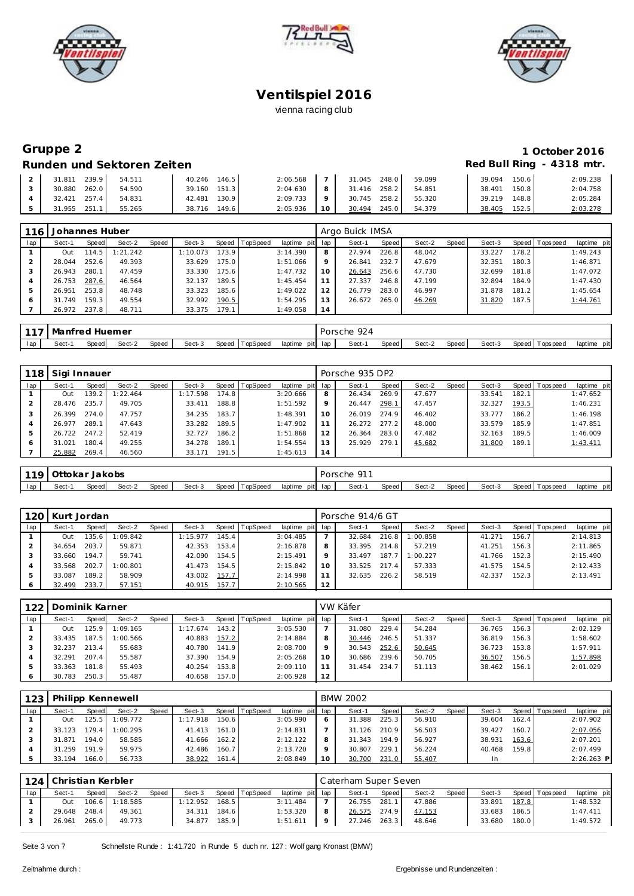





# **Gruppe 2 1 October 2016**

### **Runden und Sektoren Zeiten Red Bull Ring - 4318 mtr.**

| 239.9<br>.811       | 54.511 | 146.5<br>40.246 | 2:06.568 |         | 248.0<br>31.045 | 59.099 | 150.6<br>39.094 | 2:09.238 |
|---------------------|--------|-----------------|----------|---------|-----------------|--------|-----------------|----------|
| 262.0<br>30.880     | 54.590 | 151.3<br>39.160 | 2:04.630 | 8       | 258.2<br>31.416 | 54.851 | 150.8<br>38.491 | 2:04.758 |
| $257.4$  <br>32.421 | 54.831 | 130.9<br>42.481 | 2:09.733 | $\circ$ | 258.2<br>30.745 | 55.320 | 148.8<br>39.219 | 2:05.284 |
| 251.1<br>31.955     | 55.265 | 149.6<br>38.716 | 2:05.936 |         | 245.0<br>30.494 | 54.379 | 152.5<br>38.405 | 2:03.278 |

| 116 | Johannes Huber |       |          |       |          |       |          |                 |         | Argo Buick IMSA |       |        |       |        |       |                 |             |
|-----|----------------|-------|----------|-------|----------|-------|----------|-----------------|---------|-----------------|-------|--------|-------|--------|-------|-----------------|-------------|
| lap | Sect-1         | Speed | Sect-2   | Speed | Sect-3   | Speed | TopSpeed | laptime pit lap |         | Sect-1          | Speed | Sect-2 | Speed | Sect-3 |       | Speed Tops peed | laptime pit |
|     | Out            | 114.5 | 1:21.242 |       | 1:10.073 | 173.9 |          | 3:14.390        | 8       | 27.974          | 226.8 | 48.042 |       | 33.227 | 178.2 |                 | 1:49.243    |
|     | 28.044         | 252.6 | 49.393   |       | 33.629   | 175.0 |          | 1:51.066        | $\circ$ | 26.841          | 232.7 | 47.679 |       | 32.351 | 180.3 |                 | 1:46.871    |
|     | 26.943         | 280.1 | 47.459   |       | 33.330   | 175.6 |          | 1:47.732        | 10      | 26.643          | 256.6 | 47.730 |       | 32.699 | 181.8 |                 | 1:47.072    |
|     | 26.753         | 287.6 | 46.564   |       | 32.137   | 189.5 |          | 1:45.454        |         | 27.337          | 246.8 | 47.199 |       | 32.894 | 184.9 |                 | 1:47.430    |
| .5  | 26.951         | 253.8 | 48.748   |       | 33.323   | 185.6 |          | 1:49.022        | 12      | 26.779          | 283.0 | 46.997 |       | 31.878 | 181.2 |                 | 1:45.654    |
| 6   | 31.749         | 159.3 | 49.554   |       | 32.992   | 190.5 |          | 1:54.295        | ا 3     | 26.672          | 265.0 | 46.269 |       | 31.820 | 187.5 |                 | 1:44.761    |
|     | 26.972 237.8   |       | 48.711   |       | 33.375   | 179.1 |          | 1:49.058        | 14      |                 |       |        |       |        |       |                 |             |

| 117 | Manfred Huemer                                                    |  |  |  |  |  |                 | $\sim$<br>orsche<br>and the control of the con- |       |        |       |        |                    |             |
|-----|-------------------------------------------------------------------|--|--|--|--|--|-----------------|-------------------------------------------------|-------|--------|-------|--------|--------------------|-------------|
| lap | Sect-3<br>Speed<br>TopSpeed<br>Sect-1<br>Speed<br>Speed<br>Sect-2 |  |  |  |  |  | laptime pit lap | Sect-1                                          | Speed | Sect-2 | Speed | Sect-3 | Speed<br>Fops peed | laptime pit |

| 118 | Sigi Innauer |       |          |       |          |       |          |                 |         | Porsche 935 DP2 |       |        |       |        |       |                |             |
|-----|--------------|-------|----------|-------|----------|-------|----------|-----------------|---------|-----------------|-------|--------|-------|--------|-------|----------------|-------------|
| lap | Sect-1       | Speed | Sect-2   | Speed | Sect-3   | Speed | TopSpeed | laptime pit lap |         | Sect-1          | Speed | Sect-2 | Speed | Sect-3 |       | Speed Topspeed | laptime pit |
|     | Out          | 139.2 | 1:22.464 |       | 1:17.598 | 174.8 |          | 3:20.666        | 8       | 26.434          | 269.9 | 47.677 |       | 33.541 | 182.1 |                | 1:47.652    |
|     | 28.476       | 235.7 | 49.705   |       | 33.411   | 188.8 |          | 1:51.592        | $\circ$ | 26.447          | 298.1 | 47.457 |       | 32.327 | 193.5 |                | 1:46.231    |
|     | 26.399       | 274.0 | 47.757   |       | 34.235   | 183.7 |          | 1:48.391        | 10      | 26.019          | 274.9 | 46.402 |       | 33.777 | 186.2 |                | 1:46.198    |
|     | 26.977       | 289.1 | 47.643   |       | 33.282   | 189.5 |          | 1:47.902        |         | 26.272          | 277.2 | 48.000 |       | 33.579 | 185.9 |                | 1:47.851    |
| 5   | 26.722       | 247.2 | 52.419   |       | 32.727   | 186.2 |          | 1:51.868        | 12      | 26.364          | 283.0 | 47.482 |       | 32.163 | 189.5 |                | 1:46.009    |
| 6   | 31.021       | 180.4 | 49.255   |       | 34.278   | 189.1 |          | 1:54.554        | 13      | 25.929          | 279.1 | 45.682 |       | 31.800 | 189.1 |                | 1:43.411    |
|     | 25.882       | 269.4 | 46.560   |       | 33.171   | 191.5 |          | 1:45.613        | 14      |                 |       |        |       |        |       |                |             |

|     | 119 Ottokar Jakobs                                             |  |  |  |  |  |  |  |                 | . 011<br>Porsche |       |        |        |        |                    |             |
|-----|----------------------------------------------------------------|--|--|--|--|--|--|--|-----------------|------------------|-------|--------|--------|--------|--------------------|-------------|
| lap | Speed TopSpeed<br>Sect-3<br>Sect-1<br>Speed<br>Sect-2<br>Speed |  |  |  |  |  |  |  | laptime pit lap | Sect-            | Speed | Sect-2 | Speed, | Sect-3 | Speed<br>Tops peed | laptime pit |

|     | 120 Kurt Jordan |       |          |       |          |           |                 |                 |    | Porsche 914/6 GT |       |          |         |        |       |                |             |
|-----|-----------------|-------|----------|-------|----------|-----------|-----------------|-----------------|----|------------------|-------|----------|---------|--------|-------|----------------|-------------|
| lap | Sect-1          | Speed | Sect-2   | Speed | Sect-3   | Speed   T | <b>TopSpeed</b> | laptime pit lap |    | Sect-1           | Speed | Sect-2   | Speed I | Sect-3 |       | Speed Topspeed | laptime pit |
|     | Out             | 135.6 | 1:09.842 |       | 1:15.977 | 145.4     |                 | 3:04.485        |    | 32.684           | 216.8 | 1:00.858 |         | 41.271 | 156.7 |                | 2:14.813    |
|     | 34.654          | 203.7 | 59.871   |       | 42.353   | 153.4     |                 | 2:16.878        |    | 33.395           | 214.8 | 57.219   |         | 41.251 | 156.3 |                | 2:11.865    |
|     | 33.660          | 194.7 | 59.741   |       | 42.090   | 154.5     |                 | 2:15.491        |    | 33.497           | 187.7 | 1:00.227 |         | 41.766 | 152.3 |                | 2:15.490    |
|     | 33.568          | 202.7 | 1:00.801 |       | 41.473   | 154.5     |                 | 2:15.842        | 10 | 33.525           | 217.4 | 57.333   |         | 41.575 | 154.5 |                | 2:12.433    |
|     | 33.087          | 189.2 | 58.909   |       | 43.002   | 157.7     |                 | 2:14.998        |    | 32.635           | 226.2 | 58.519   |         | 42.337 | 152.3 |                | 2:13.491    |
|     | 32.499          | 233.7 | 57.151   |       | 40.915   | 157.7     |                 | 2:10.565        | 12 |                  |       |          |         |        |       |                |             |

| 122 | Dominik Karner |       |          |       |          |       |                 |                 |    | VW Käfer |       |        |       |        |       |                |             |
|-----|----------------|-------|----------|-------|----------|-------|-----------------|-----------------|----|----------|-------|--------|-------|--------|-------|----------------|-------------|
| lap | Sect-1         | Speed | Sect-2   | Speed | Sect-3   | Speed | <b>TopSpeed</b> | laptime pit lap |    | Sect-1   | Speed | Sect-2 | Speed | Sect-3 |       | Speed Topspeed | laptime pit |
|     | Out            | 25.9  | 1:09.165 |       | 1:17.674 | 143.2 |                 | 3:05.530        |    | 31.080   | 229.4 | 54.284 |       | 36.765 | 156.3 |                | 2:02.129    |
|     | 33.435         | 187.5 | 1:00.566 |       | 40.883   | 157.2 |                 | 2:14.884        |    | 30.446   | 246.5 | 51.337 |       | 36.819 | 156.3 |                | 1:58.602    |
|     | 32.237         | 213.4 | 55.683   |       | 40.780   | 141.9 |                 | 2:08.700        |    | 30.543   | 252.6 | 50.645 |       | 36.723 | 153.8 |                | 1:57.911    |
|     | 32.291         | 207.4 | 55.587   |       | 37.390   | 154.9 |                 | 2:05.268        | 10 | 30.686   | 239.6 | 50.705 |       | 36.507 | 156.5 |                | 1:57.898    |
|     | 33.363         | 181.8 | 55.493   |       | 40.254   | 153.8 |                 | 2:09.110        |    | 31.454   | 234.7 | 51.113 |       | 38.462 | 156.1 |                | 2:01.029    |
|     | 30.783         | 250.3 | 55.487   |       | 40.658   | 157.0 |                 | 2:06.928        | 12 |          |       |        |       |        |       |                |             |

| 123 |        |       | Philipp Kennewell |       |          |       |                |                 |         | <b>BMW 2002</b> |       |        |       |        |       |            |              |
|-----|--------|-------|-------------------|-------|----------|-------|----------------|-----------------|---------|-----------------|-------|--------|-------|--------|-------|------------|--------------|
| lap | Sect-1 | Speed | Sect-2            | Speed | Sect-3   |       | Speed TopSpeed | laptime pit lap |         | Sect-1          | Speed | Sect-2 | Speed | Sect-3 | Speed | T ops peed | laptime pit  |
|     | Out    | 125.5 | 1:09.772          |       | 1:17.918 | 150.6 |                | 3:05.990        | 6       | 31.388          | 225.3 | 56.910 |       | 39.604 | 162.4 |            | 2:07.902     |
|     | 33.123 | 179.4 | 1:00.295          |       | 41.413   | 161.0 |                | 2:14.831        |         | 31.126          | 210.9 | 56.503 |       | 39.427 | 160.7 |            | 2:07.056     |
|     | 31.871 | 194.0 | 58.585            |       | 41.666   | 162.2 |                | 2:12.122        | 8       | 31.343          | 194.9 | 56.927 |       | 38.931 | 163.6 |            | 2:07.201     |
|     | 31.259 | 191.9 | 59.975            |       | 42.486   | 160.7 |                | 2:13.720        | $\circ$ | 30.807          | 229.1 | 56.224 |       | 40.468 | 159.8 |            | 2:07.499     |
|     | 33.194 | 166.0 | 56.733            |       | 38.922   | 161.4 |                | 2:08.849        | 10      | 30.700          | 231.0 | 55.407 |       | In     |       |            | $2:26.263$ P |

|     | 124   Christian Kerbler |       |                |       |          |         |                |                 |   | Caterham Super Seven |       |        |       |        |       |                |             |
|-----|-------------------------|-------|----------------|-------|----------|---------|----------------|-----------------|---|----------------------|-------|--------|-------|--------|-------|----------------|-------------|
| lap | Sect-1                  | Speed | Sect-2         | Speed | Sect-3   |         | Speed TopSpeed | laptime pit lap |   | Sect-1               | Speed | Sect-2 | Speed | Sect-3 |       | Speed Topspeed | laptime pit |
|     | Out                     |       | 106.6 1:18.585 |       | 1:12.952 | $168.5$ |                | 3:11.484        |   | 26.755 281.1         |       | 47.886 |       | 33.891 | 187.8 |                | 1:48.532    |
|     | 29.648 248.4            |       | 49.361         |       | 34.311   | 184.6   |                | 1:53.320        |   | 26.575 274.9         |       | 47.153 |       | 33.683 | 186.5 |                | 1:47.411    |
|     | 26.961                  | 265.0 | 49.773         |       | 34.877   | 185.9   |                | 1:51.611        | 9 | 27.246 263.3         |       | 48.646 |       | 33.680 | 180.0 |                | 1:49.572    |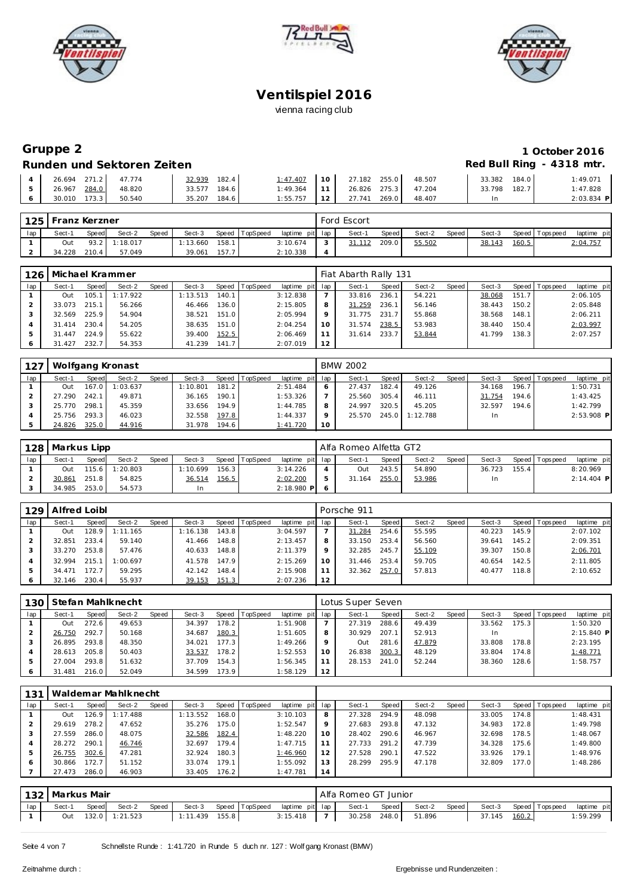





### **Gruppe 2** 1 October 2016<br>Runden und Sektoren Zeiten einer aus der anterentieren Einer der aus der Red Bull Ring - 4318 mtr. **Runden und Sektoren Zeiten**

| <u>KUNGEN UNU JEKIULEH ZENEN</u>                                                           |        |              |               |                            |        |                 |              |
|--------------------------------------------------------------------------------------------|--------|--------------|---------------|----------------------------|--------|-----------------|--------------|
| $\begin{array}{ c c c c c c c c c } \hline 4 & 26.694 & 271.2 & 47.774 \hline \end{array}$ |        | 32.939 182.4 |               | $1:47.407$ 10 27.182 255.0 | 48.507 | 33.382<br>184.0 | 1:49.071     |
| 26.967 284.0                                                                               | 48.820 | 33.577 184.6 | $1:49.364$ 11 | 26.826 275.3 47.204        |        | 182.7<br>33.798 | 1:47.828     |
| 30.010 173.3                                                                               | 50.540 | 35.207 184.6 | $1:55.757$ 12 | 27.741 269.0               | 48.407 | In.             | $2:03.834$ P |

| 125 | l Franz Kerzner |       |               |       |          |       |                |                 | Ford Escort |       |        |       |        |       |                   |             |
|-----|-----------------|-------|---------------|-------|----------|-------|----------------|-----------------|-------------|-------|--------|-------|--------|-------|-------------------|-------------|
| lap | Sect-1          | Speed | Sect-2        | Speed | Sect-3   |       | Speed TopSpeed | laptime pit lap | Sect-1      | Speed | Sect-2 | Speed | Sect-3 |       | Speed   Tops peed | laptime pit |
|     | Out             |       | 93.2 1:18.017 |       | : 13.660 | 158.1 |                | 3:10.674        | 31.112      | 209.0 | 55.502 |       | 38.143 | 160.5 |                   | 2:04.757    |
|     | 34.228          | 210.4 | 57.049        |       | 39.061   | 157.7 |                | 2:10.338        |             |       |        |       |        |       |                   |             |

| 126 |        |       | Michael Krammer |       |          |       |                |                 |    | Fiat Abarth Rally 131 |       |        |       |        |       |                |             |
|-----|--------|-------|-----------------|-------|----------|-------|----------------|-----------------|----|-----------------------|-------|--------|-------|--------|-------|----------------|-------------|
| lap | Sect-1 | Speed | Sect-2          | Speed | Sect-3   |       | Speed TopSpeed | laptime pit lap |    | Sect-1                | Speed | Sect-2 | Speed | Sect-3 |       | Speed Topspeed | laptime pit |
|     | Out    | 105.1 | 1:17.922        |       | 1:13.513 | 140.1 |                | 3:12.838        |    | 33.816                | 236.1 | 54.221 |       | 38.068 | 151.7 |                | 2:06.105    |
|     | 33.073 | 215.1 | 56.266          |       | 46.466   | 136.0 |                | 2:15.805        | 8  | 31.259                | 236.1 | 56.146 |       | 38.443 | 150.2 |                | 2:05.848    |
|     | 32.569 | 225.9 | 54.904          |       | 38.521   | 151.0 |                | 2:05.994        |    | 31.775                | 231.7 | 55.868 |       | 38.568 | 148.1 |                | 2:06.211    |
|     | 31.414 | 230.4 | 54.205          |       | 38.635   | 151.0 |                | 2:04.254        |    | 31.574                | 238.5 | 53.983 |       | 38.440 | 150.4 |                | 2:03.997    |
|     | 31.447 | 224.9 | 55.622          |       | 39.400   | 152.5 |                | 2:06.469        |    | 31.614                | 233.7 | 53.844 |       | 41.799 | 138.3 |                | 2:07.257    |
|     | 31.427 | 232.7 | 54.353          |       | 41.239   | 141.7 |                | 2:07.019        | 12 |                       |       |        |       |        |       |                |             |

| 127 |        |       | Wolfgang Kronast |       |          |       |          |                 |    | <b>BMW 2002</b> |       |          |       |        |       |                 |              |
|-----|--------|-------|------------------|-------|----------|-------|----------|-----------------|----|-----------------|-------|----------|-------|--------|-------|-----------------|--------------|
| lap | Sect-1 | Speed | Sect-2           | Speed | Sect-3   | Speed | TopSpeed | laptime pit lap |    | Sect-1          | Speed | Sect-2   | Speed | Sect-3 |       | Speed Tops peed | laptime pit  |
|     | Out    | 167.0 | 1:03.637         |       | 1:10.801 | 181.2 |          | 2:51.484        | 6  | 27.437          | 182.4 | 49.126   |       | 34.168 | 196.7 |                 | 1:50.731     |
|     | 27.290 | 242.1 | 49.871           |       | 36.165   | 190.1 |          | 1:53.326        |    | 25.560          | 305.4 | 46.111   |       | 31.754 | 194.6 |                 | 1:43.425     |
|     | 25.770 | 298.1 | 45.359           |       | 33.656   | 194.9 |          | 1:44.785        | 8  | 24.997          | 320.5 | 45.205   |       | 32.597 | 194.6 |                 | 1:42.799     |
|     | 25.756 | 293.3 | 46.023           |       | 32.558   | 197.8 |          | 1:44.337        | o  | 25.570          | 245.0 | 1:12.788 |       | In     |       |                 | $2:53.908$ P |
|     | 24.826 | 325.0 | 44.916           |       | 31.978   | 194.6 |          | 1:41.720        | 10 |                 |       |          |       |        |       |                 |              |

|     | 128   Markus Lipp |       |          |              |          |       |                |                 | Alfa Romeo Alfetta GT2 |       |        |       |        |         |                 |              |  |
|-----|-------------------|-------|----------|--------------|----------|-------|----------------|-----------------|------------------------|-------|--------|-------|--------|---------|-----------------|--------------|--|
| lap | Sect-1            | Speed | Sect-2   | <b>Speed</b> | Sect-3   |       | Speed TopSpeed | laptime pit lap | Sect-1                 | Speed | Sect-2 | Speed | Sect-3 |         | Speed Tops peed | laptime pit  |  |
|     | Out               | 115.6 | 1:20.803 |              | 1:10.699 | 156.3 |                | 3:14.226        | Out                    | 243.5 | 54.890 |       | 36.723 | 155.4 l |                 | 8:20.969     |  |
|     | 30.861            | 251.8 | 54.825   |              | 36.514   | 156.5 |                | 2:02.200        | 31.164                 | 255.0 | 53.986 |       |        |         |                 | $2:14.404$ P |  |
|     | 34.985            | 253.0 | 54.573   |              | In       |       |                | $2:18.980$ P    |                        |       |        |       |        |         |                 |              |  |

| 129 | Alfred Loibl |         |          |       |          |       |                |                 |    | Porsche 911 |       |        |       |        |       |                 |             |
|-----|--------------|---------|----------|-------|----------|-------|----------------|-----------------|----|-------------|-------|--------|-------|--------|-------|-----------------|-------------|
| lap | Sect-1       | Speed   | Sect-2   | Speed | Sect-3   |       | Speed TopSpeed | laptime pit lap |    | Sect-1      | Speed | Sect-2 | Speed | Sect-3 |       | Speed Tops peed | laptime pit |
|     | Out          | 128.9 L | 1:11.165 |       | 1:16.138 | 143.8 |                | 3:04.597        |    | 31.284      | 254.6 | 55.595 |       | 40.223 | 145.9 |                 | 2:07.102    |
|     | 32.851       | 233.4   | 59.140   |       | 41.466   | 148.8 |                | 2:13.457        | 8  | 33.150      | 253.4 | 56.560 |       | 39.641 | 145.2 |                 | 2:09.351    |
|     | 33.270       | 253.8   | 57.476   |       | 40.633   | 148.8 |                | 2:11.379        | 9  | 32.285      | 245.7 | 55.109 |       | 39.307 | 150.8 |                 | 2:06.701    |
|     | 32.994       | 215.1   | 1:00.697 |       | 41.578   | 147.9 |                | 2:15.269        | 10 | 31.446      | 253.4 | 59.705 |       | 40.654 | 142.5 |                 | 2:11.805    |
|     | 34.471       | 172.7   | 59.295   |       | 42.142   | 148.4 |                | 2:15.908        | 11 | 32.362      | 257.0 | 57.813 |       | 40.477 | 118.8 |                 | 2:10.652    |
|     | 32.146       | 230.4   | 55.937   |       | 39.153   | 151.3 |                | 2:07.236        | 12 |             |       |        |       |        |       |                 |             |

| 130 |             |       | Stefan Mahlknecht |       |        |       |          |                 |    | Lotus Super Seven |         |        |       |        |       |                |              |
|-----|-------------|-------|-------------------|-------|--------|-------|----------|-----------------|----|-------------------|---------|--------|-------|--------|-------|----------------|--------------|
| lap | Sect-1      | Speed | Sect-2            | Speed | Sect-3 | Speed | TopSpeed | laptime pit lap |    | Sect-1            | Speed I | Sect-2 | Speed | Sect-3 |       | Speed Topspeed | laptime pit  |
|     | Out         | 272.6 | 49.653            |       | 34.397 | 178.2 |          | 1:51.908        |    | 27.319            | 288.6   | 49.439 |       | 33.562 | 175.3 |                | 1:50.320     |
|     | 26.750      | 292.7 | 50.168            |       | 34.687 | 180.3 |          | 1:51.605        | 8  | 30.929            | 207.1   | 52.913 |       | In     |       |                | $2:15.840$ P |
|     | 26.895      | 293.8 | 48.350            |       | 34.021 | 177.3 |          | 1:49.266        |    | Out               | 281.6   | 47.879 |       | 33.808 | 178.8 |                | 2:23.195     |
|     | 28.613      | 205.8 | 50.403            |       | 33.537 | 178.2 |          | 1:52.553        | 10 | 26.838            | 300.3   | 48.129 |       | 33.804 | 174.8 |                | 1:48.771     |
|     | 27.004      | 293.8 | 51.632            |       | 37.709 | 154.3 |          | 1:56.345        |    | 28.153            | 241.0   | 52.244 |       | 38.360 | 128.6 |                | 1:58.757     |
|     | .481<br>-31 | 216.0 | 52.049            |       | 34.599 | 173.9 |          | 1:58.129        | 12 |                   |         |        |       |        |       |                |              |

|        |       | Waldemar Mahlknecht |       |          |       |                |     |             |       |        |       |        |       |                 |
|--------|-------|---------------------|-------|----------|-------|----------------|-----|-------------|-------|--------|-------|--------|-------|-----------------|
| Sect-1 | Speed | Sect-2              | Speed | Sect-3   |       |                | lap | Sect-1      | Speed | Sect-2 | Speed | Sect-3 |       | laptime pit     |
| Out    | 26.9  | 1:17.488            |       | 1:13.552 | 168.0 | 3:10.103       | 8   | 27.328      | 294.9 | 48.098 |       | 33.005 | 174.8 | 1:48.431        |
| 29.619 | 278.2 | 47.652              |       | 35.276   | 175.0 | 1:52.547       | 9   | 27.683      | 293.8 | 47.132 |       | 34.983 | 172.8 | 1:49.798        |
| 27.559 | 286.0 | 48.075              |       | 32.586   | 182.4 | 1:48.220       | 10  | 28.402      | 290.6 | 46.967 |       | 32.698 | 178.5 | 1:48.067        |
| 28.272 | 290.1 | 46.746              |       | 32.697   | 179.4 | 1:47.715       | 11  | 27.733      | 291.2 | 47.739 |       | 34.328 | 175.6 | 1:49.800        |
| 26.755 | 302.6 | 47.281              |       | 32.924   | 180.3 | 1:46.960       | 12  | 27.528      | 290.1 | 47.522 |       | 33.926 | 179.1 | 1:48.976        |
| 30.866 | 72.7  | 51.152              |       | 33.074   | 179.1 | 1:55.092       | 13  | 28.299      | 295.9 | 47.178 |       | 32.809 | 177.0 | 1:48.286        |
| 27.473 | 286.0 | 46.903              |       | 33.405   | 176.2 | 1:47.781       | 14  |             |       |        |       |        |       |                 |
|        |       |                     |       |          |       | Speed TopSpeed |     | laptime pit |       |        |       |        |       | Speed Tops peed |

|     |     | 132   Markus Mair<br>Speed TopSpeed<br>Speed<br>Sect-3<br>Sect-1<br>Sect-2<br>Speed |                |  |          |       |  |                 |  | Alfa Romeo GT Junior |       |        |       |        |       |                 |             |
|-----|-----|-------------------------------------------------------------------------------------|----------------|--|----------|-------|--|-----------------|--|----------------------|-------|--------|-------|--------|-------|-----------------|-------------|
| lap |     |                                                                                     |                |  |          |       |  | laptime pit lap |  | Sect-1               | Speed | Sect-2 | Speed | Sect-3 |       | Speed Tops peed | laptime pit |
|     | Out |                                                                                     | 132.0 1:21.523 |  | 1:11.439 | 155.8 |  | 3:15.418        |  | 30.258               | 248.0 | 51.896 |       | 37.145 | 160.2 |                 | 1:59.299    |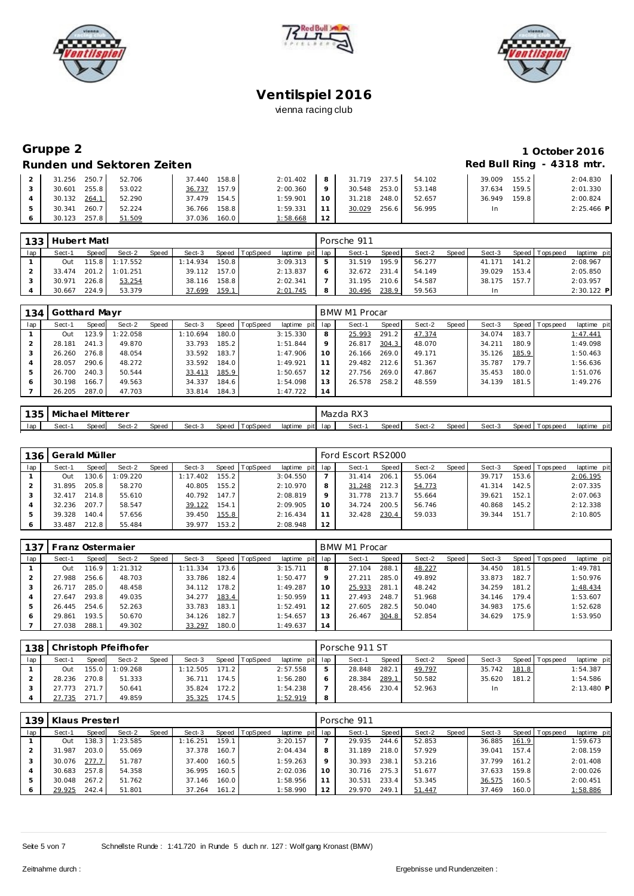





### **Gruppe 2 1 October 2016 Runden und Sektoren Zeiten Red Bull Ring - 4318 mtr.**

| 250.7<br>31.256 | 52.706 | 158.8<br>37.440 | 2:01.402 | 8  | 31.719 | 237.5<br>54.102  | 39.009 | 155.2 | 2:04.830     |
|-----------------|--------|-----------------|----------|----|--------|------------------|--------|-------|--------------|
| 255.8<br>30.601 | 53.022 | 157.9<br>36.737 | 2:00.360 |    | 30.548 | 253.0<br>53.148  | 37.634 | 159.5 | 2:01.330     |
| 30.132<br>264.1 | 52.290 | 37.479<br>154.5 | 1:59.901 | 10 | 31.218 | 52.657<br>248.0  | 36.949 | 159.8 | 2:00.824     |
| 260.7<br>30.341 | 52.224 | 158.8<br>36.766 | 1:59.331 |    | 30.029 | 256.61<br>56.995 | In.    |       | $2:25.466$ P |
| 30.123          | 51.509 | 160.0<br>37.036 | :58.668  | 12 |        |                  |        |       |              |

| 133 | Hubert Matl |       |          |       |          |       |                |                 |   | Porsche 911  |       |        |       |        |       |                |             |
|-----|-------------|-------|----------|-------|----------|-------|----------------|-----------------|---|--------------|-------|--------|-------|--------|-------|----------------|-------------|
| lap | Sect-1      | Speed | Sect-2   | Speed | Sect-3   |       | Speed TopSpeed | laptime pit lap |   | Sect-1       | Speed | Sect-2 | Speed | Sect-3 |       | Speed Topspeed | laptime pit |
|     | Out         | 115.8 | 1:17.552 |       | 1:14.934 | 150.8 |                | 3:09.313        | 5 | 31.519       | 195.9 | 56.277 |       | 41.171 | 141.2 |                | 2:08.967    |
|     | 33.474      | 201.2 | 1:01.251 |       | 39.112   | 157.0 |                | 2:13.837        | 6 | 32.672 231.4 |       | 54.149 |       | 39.029 | 153.4 |                | 2:05.850    |
|     | 30.971      | 226.8 | 53.254   |       | 38.116   | 158.8 |                | 2:02.341        |   | 31.195       | 210.6 | 54.587 |       | 38.175 | 157.7 |                | 2:03.957    |
|     | 30.667      | 224.9 | 53.379   |       | 37.699   | 159.1 |                | 2:01.745        | 8 | 30.496       | 238.9 | 59.563 |       | In     |       |                | 2:30.122 P  |

| 134 | Gotthard Mayr |       |          |       |          |         |          |                 |         | <b>BMW M1 Procar</b> |       |        |       |        |       |                 |             |
|-----|---------------|-------|----------|-------|----------|---------|----------|-----------------|---------|----------------------|-------|--------|-------|--------|-------|-----------------|-------------|
| lap | Sect-1        | Speed | Sect-2   | Speed | Sect-3   | Speed l | TopSpeed | laptime pit lap |         | Sect-1               | Speed | Sect-2 | Speed | Sect-3 |       | Speed Tops peed | laptime pit |
|     | Out           | 123.9 | 1:22.058 |       | 1:10.694 | 180.01  |          | 3:15.330        | 8       | 25.993               | 291.2 | 47.374 |       | 34.074 | 183.7 |                 | 1:47.441    |
|     | 28.181        | 241.3 | 49.870   |       | 33.793   | 185.2   |          | 1:51.844        | $\circ$ | 26.817               | 304.3 | 48.070 |       | 34.211 | 180.9 |                 | 1:49.098    |
|     | 26.260        | 276.8 | 48.054   |       | 33.592   | 183.7   |          | 1:47.906        | 10      | 26.166               | 269.0 | 49.171 |       | 35.126 | 185.9 |                 | 1:50.463    |
| 4   | 28.057        | 290.6 | 48.272   |       | 33.592   | 184.0   |          | 1:49.921        |         | 29.482               | 212.6 | 51.367 |       | 35.787 | 179.7 |                 | 1:56.636    |
|     | 26.700        | 240.3 | 50.544   |       | 33.413   | 185.9   |          | 1:50.657        | 12      | 27.756               | 269.0 | 47.867 |       | 35.453 | 180.0 |                 | 1:51.076    |
| 6   | 30.198        | 166.7 | 49.563   |       | 34.337   | 184.6   |          | 1:54.098        | 13      | 26.578               | 258.2 | 48.559 |       | 34.139 | 181.5 |                 | 1:49.276    |
|     | 26.205        | 287.0 | 47.703   |       | 33.814   | 184.3   |          | 1:47.722        | 14      |                      |       |        |       |        |       |                 |             |

|     | 135   Michael | l Mitterer |        |       |        |                |                 | Mazda RX3 |       |        |        |        |                   |                |
|-----|---------------|------------|--------|-------|--------|----------------|-----------------|-----------|-------|--------|--------|--------|-------------------|----------------|
| lap | Sect-'        | Speed      | Sect-2 | Speed | Sect-3 | Speed TopSpeed | laptime pit lap | Sect-1    | Speed | Sect-2 | Speed. | Sect-3 | Speed   Tops peed | pit<br>laptime |

| 136 | Gerald Müller |       |          |       |          |       |                |                 |     | Ford Escort RS2000 |       |        |         |        |       |                |             |
|-----|---------------|-------|----------|-------|----------|-------|----------------|-----------------|-----|--------------------|-------|--------|---------|--------|-------|----------------|-------------|
| lap | Sect-1        | Speed | Sect-2   | Speed | Sect-3   |       | Speed TopSpeed | laptime pit lap |     | Sect-1             | Speed | Sect-2 | Speed ! | Sect-3 |       | Speed Topspeed | laptime pit |
|     | Out           | 130.6 | 1:09.220 |       | 1:17.402 | 155.2 |                | 3:04.550        |     | 31.414             | 206.1 | 55.064 |         | 39.717 | 153.6 |                | 2:06.195    |
|     | 31.895        | 205.8 | 58.270   |       | 40.805   | 155.2 |                | 2:10.970        |     | 31.248             | 212.3 | 54.773 |         | 41.314 | 142.5 |                | 2:07.335    |
|     | 32.417        | 214.8 | 55.610   |       | 40.792   | 147.7 |                | 2:08.819        |     | 31.778             | 213.7 | 55.664 |         | 39.621 | 152.1 |                | 2:07.063    |
|     | 32.236        | 207.7 | 58.547   |       | 39.122   | 154.1 |                | 2:09.905        | 1 O | 34.724             | 200.5 | 56.746 |         | 40.868 | 145.2 |                | 2:12.338    |
|     | 39.328        | 140.4 | 57.656   |       | 39.450   | 155.8 |                | 2:16.434        |     | 32.428             | 230.4 | 59.033 |         | 39.344 | 151.7 |                | 2:10.805    |
| 6   | 33.487        | 212.8 | 55.484   |       | 39.977   | 153.2 |                | 2:08.948        | 12  |                    |       |        |         |        |       |                |             |

| 137 | Franz Ostermaier |       |          |       |          |         |                 |                 |    | BMW M1 Procar |       |        |       |        |       |                |             |
|-----|------------------|-------|----------|-------|----------|---------|-----------------|-----------------|----|---------------|-------|--------|-------|--------|-------|----------------|-------------|
| lap | Sect-1           | Speed | Sect-2   | Speed | Sect-3   | Speed T | <b>TopSpeed</b> | laptime pit lap |    | Sect-1        | Speed | Sect-2 | Speed | Sect-3 |       | Speed Topspeed | laptime pit |
|     | Out              | 116.9 | 1:21.312 |       | 1:11.334 | 173.6   |                 | 3:15.711        | 8  | 27.104        | 288.1 | 48.227 |       | 34.450 | 181.5 |                | 1:49.781    |
|     | 27.988           | 256.6 | 48.703   |       | 33.786   | 182.4   |                 | 1:50.477        | Q  | 27.211        | 285.0 | 49.892 |       | 33.873 | 182.7 |                | 1:50.976    |
|     | 26.717           | 285.0 | 48.458   |       | 34.112   | 178.2   |                 | 1:49.287        | 10 | 25.933        | 281.1 | 48.242 |       | 34.259 | 181.2 |                | 1:48.434    |
|     | 27.647           | 293.8 | 49.035   |       | 34.277   | 183.4   |                 | 1:50.959        |    | 27.493        | 248.7 | 51.968 |       | 34.146 | 179.4 |                | 1:53.607    |
|     | 26.445           | 254.6 | 52.263   |       | 33.783   | 183.1   |                 | 1:52.491        | 12 | 27.605        | 282.5 | 50.040 |       | 34.983 | 175.6 |                | 1:52.628    |
|     | 29.861           | 193.5 | 50.670   |       | 34.126   | 182.7   |                 | 1:54.657        | 13 | 26.467        | 304.8 | 52.854 |       | 34.629 | 175.9 |                | 1:53.950    |
|     | 27.038           | 288.1 | 49.302   |       | 33.297   | 180.0   |                 | 1:49.637        | 14 |               |       |        |       |        |       |                |             |

|     |        |       | 138 Christoph Pfeifhofer |              |          |       |                |                 |   | Porsche 911 ST |              |        |       |        |       |                 |              |
|-----|--------|-------|--------------------------|--------------|----------|-------|----------------|-----------------|---|----------------|--------------|--------|-------|--------|-------|-----------------|--------------|
| lap | Sect-1 | Speed | Sect-2                   | <b>Speed</b> | Sect-3   |       | Speed TopSpeed | laptime pit lap |   | Sect-1         | <b>Speed</b> | Sect-2 | Speed | Sect-3 |       | Speed Tops peed | laptime pit  |
|     | Out    | 155.0 | 1:09.268                 |              | 1:12.505 | 171.2 |                | 2:57.558        | ь | 28.848         | 282.1        | 49.797 |       | 35.742 | 181.8 |                 | 1:54.387     |
|     | 28.236 | 270.8 | 51.333                   |              | 36.711   | 174.5 |                | 1:56.280        | O | 28.384         | 289.1        | 50.582 |       | 35.620 | 181.2 |                 | 1:54.586     |
|     | 27.773 | 271.7 | 50.641                   |              | 35.824   | 172.2 |                | 1:54.238        |   | 28.456         | 230.4        | 52.963 |       | In.    |       |                 | $2:13.480$ P |
|     | 27.735 | 271.7 | 49.859                   |              | 35.325   | 174.5 |                | 1:52.919        | 8 |                |              |        |       |        |       |                 |              |

| 139 | Klaus Presterl |       |          |       |          |       |                |                 |    | Porsche 911 |       |        |       |        |       |                 |             |
|-----|----------------|-------|----------|-------|----------|-------|----------------|-----------------|----|-------------|-------|--------|-------|--------|-------|-----------------|-------------|
| lap | Sect-1         | Speed | Sect-2   | Speed | Sect-3   |       | Speed TopSpeed | laptime pit lap |    | Sect-1      | Speed | Sect-2 | Speed | Sect-3 |       | Speed Tops peed | laptime pit |
|     | Out            | 38.3  | 1:23.585 |       | 1:16.251 | 159.1 |                | 3:20.157        |    | 29.935      | 244.6 | 52.853 |       | 36.885 | 161.9 |                 | 1:59.673    |
|     | 31.987         | 203.0 | 55.069   |       | 37.378   | 160.7 |                | 2:04.434        | 8  | 31.189      | 218.0 | 57.929 |       | 39.041 | 157.4 |                 | 2:08.159    |
|     | 30.076         | 277.7 | 51.787   |       | 37.400   | 160.5 |                | 1:59.263        | 9  | 30.393      | 238.1 | 53.216 |       | 37.799 | 161.2 |                 | 2:01.408    |
|     | 30.683         | 257.8 | 54.358   |       | 36.995   | 160.5 |                | 2:02.036        | 10 | 30.716      | 275.3 | 51.677 |       | 37.633 | 159.8 |                 | 2:00.026    |
| 5   | 30.048         | 267.2 | 51.762   |       | 37.146   | 160.0 |                | 1:58.956        | 11 | 30.531      | 233.4 | 53.345 |       | 36.575 | 160.5 |                 | 2:00.451    |
|     | 29.925         | 242.4 | 51.801   |       | 37.264   | 161.2 |                | 1:58.990        | 12 | 29.970      | 249.1 | 51.447 |       | 37.469 | 160.0 |                 | 1:58.886    |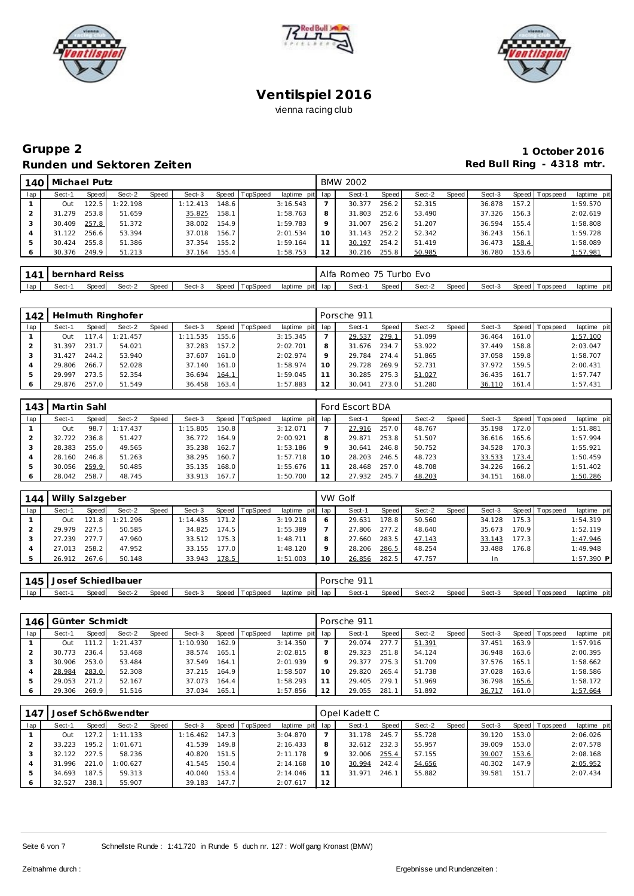





# **Gruppe 2 1 October 2016 Runden und Sektoren Zeiten Red Bull Ring - 4318 mtr.**

| 140 | Michael Putz |       |          |       |          |         |          |                 |    | <b>BMW 2002</b> |       |        |       |        |       |                |             |
|-----|--------------|-------|----------|-------|----------|---------|----------|-----------------|----|-----------------|-------|--------|-------|--------|-------|----------------|-------------|
| lap | Sect-1       | Speed | Sect-2   | Speed | Sect-3   | Speed I | TopSpeed | laptime pit lap |    | Sect-1          | Speed | Sect-2 | Speed | Sect-3 |       | Speed Topspeed | laptime pit |
|     | Out          | 22.5  | 1:22.198 |       | 1:12.413 | 148.6   |          | 3:16.543        |    | 30.377          | 256.2 | 52.315 |       | 36.878 | 157.2 |                | 1:59.570    |
|     | 31.279       | 253.8 | 51.659   |       | 35.825   | 158.1   |          | 1:58.763        | 8  | 31.803          | 252.6 | 53.490 |       | 37.326 | 156.3 |                | 2:02.619    |
|     | 30.409       | 257.8 | 51.372   |       | 38.002   | 154.9   |          | 1:59.783        | 9  | 31.007          | 256.2 | 51.207 |       | 36.594 | 155.4 |                | 1:58.808    |
|     | 31.122       | 256.6 | 53.394   |       | 37.018   | 156.7   |          | 2:01.534        |    | 31.143          | 252.2 | 52.342 |       | 36.243 | 156.1 |                | 1:59.728    |
|     | 30.424       | 255.8 | 51.386   |       | 37.354   | 155.2   |          | 1:59.164        |    | 30.197          | 254.2 | 51.419 |       | 36.473 | 158.4 |                | 1:58.089    |
|     | 30.376       | 249.9 | 51.213   |       | 37.164   | 155.4   |          | 1:58.753        | 12 | 30.216          | 255.8 | 50.985 |       | 36.780 | 153.6 |                | 1:57.981    |

|     | 141 bernhard Reiss |       |        |       |        |                |                    | Alfa Romeo 75 Turbo Evo |       |        |        |        |                 |             |
|-----|--------------------|-------|--------|-------|--------|----------------|--------------------|-------------------------|-------|--------|--------|--------|-----------------|-------------|
| lap | Sect-              | Speed | Sect-2 | Speed | Sect-3 | Speed TopSpeed | pit lap<br>laptime | Sect-                   | Speed | Sect-2 | Speed, | Sect-3 | Speed Tops peed | laptime pit |

| 142 |            |       | Helmuth Ringhofer |       |          |         |                 |                 |    | Porsche 911 |       |        |       |        |       |                |             |
|-----|------------|-------|-------------------|-------|----------|---------|-----------------|-----------------|----|-------------|-------|--------|-------|--------|-------|----------------|-------------|
| lap | Sect-1     | Speed | Sect-2            | Speed | Sect-3   | Speed T | <b>TopSpeed</b> | laptime pit lap |    | Sect-1      | Speed | Sect-2 | Speed | Sect-3 |       | Speed Topspeed | laptime pit |
|     | <b>Out</b> | 117.4 | 1:21.457          |       | 1:11.535 | 155.6   |                 | 3:15.345        |    | 29.537      | 279.1 | 51.099 |       | 36.464 | 161.0 |                | 1:57.100    |
|     | 31.397     | 231.7 | 54.021            |       | 37.283   | 157.2   |                 | 2:02.701        |    | 31.676      | 234.7 | 53.922 |       | 37.449 | 158.8 |                | 2:03.047    |
|     | 31.427     | 244.2 | 53.940            |       | 37.607   | 161.0   |                 | 2:02.974        |    | 29.784      | 274.4 | 51.865 |       | 37.058 | 159.8 |                | 1:58.707    |
|     | 29.806     | 266.7 | 52.028            |       | 37.140   | 161.0   |                 | 1:58.974        | 10 | 29.728      | 269.9 | 52.731 |       | 37.972 | 159.5 |                | 2:00.431    |
|     | 29.997     | 273.5 | 52.354            |       | 36.694   | 164.1   |                 | 1:59.045        |    | 30.285      | 275.3 | 51.027 |       | 36.435 | 161.7 |                | 1:57.747    |
|     | 29.876     | 257.0 | 51.549            |       | 36.458   | 163.4   |                 | 1:57.883        | 12 | 30.041      | 273.0 | 51.280 |       | 36.110 | 161.4 |                | 1:57.431    |

|     | 143   Martin Sahl |       |          |       |          |         |                 |             |     | Ford Escort BDA |       |        |       |        |         |                 |             |
|-----|-------------------|-------|----------|-------|----------|---------|-----------------|-------------|-----|-----------------|-------|--------|-------|--------|---------|-----------------|-------------|
| lap | Sect-1            | Speed | Sect-2   | Speed | Sect-3   | Speed I | <b>TopSpeed</b> | laptime pit | lap | Sect-1          | Speed | Sect-2 | Speed | Sect-3 |         | Speed Tops peed | laptime pit |
|     | Out               | 98.7  | 1:17.437 |       | 1:15.805 | 150.8   |                 | 3:12.071    |     | 27.916          | 257.0 | 48.767 |       | 35.198 | 172.0   |                 | 1:51.881    |
|     | 32.722            | 236.8 | 51.427   |       | 36.772   | 164.9   |                 | 2:00.921    |     | 29.871          | 253.8 | 51.507 |       | 36.616 | 165.61  |                 | 1:57.994    |
|     | 28.383            | 255.0 | 49.565   |       | 35.238   | 162.7   |                 | 1:53.186    |     | 30.641          | 246.8 | 50.752 |       | 34.528 | 170.3   |                 | 1:55.921    |
|     | 28.160            | 246.8 | 51.263   |       | 38.295   | 160.7   |                 | 1:57.718    |     | 28.203          | 246.5 | 48.723 |       | 33.533 | 173.4   |                 | 1:50.459    |
|     | 30.056            | 259.9 | 50.485   |       | 35.135   | 168.0   |                 | 1:55.676    |     | 28.468          | 257.0 | 48.708 |       | 34.226 | 166.2   |                 | 1:51.402    |
| 6   | 28.042            | 258.7 | 48.745   |       | 33.913   | 167.7   |                 | 1:50.700    | 12  | 27.932          | 245.7 | 48.203 |       | 34.151 | 168.0 l |                 | 1:50.286    |

| 144 | Willy Salzgeber |       |          |       |          |       |                  |                 |    | VW Golf |       |        |       |           |                    |                 |             |
|-----|-----------------|-------|----------|-------|----------|-------|------------------|-----------------|----|---------|-------|--------|-------|-----------|--------------------|-----------------|-------------|
| lap | Sect-1          | Speed | Sect-2   | Speed | Sect-3   |       | Speed   TopSpeed | laptime pit lap |    | Sect-1  | Speed | Sect-2 | Speed | Sect-3    |                    | Speed Tops peed | laptime pit |
|     | Out             | 121.8 | 1:21.296 |       | 1:14.435 | 171.2 |                  | 3:19.218        | 6  | 29.631  | 178.8 | 50.560 |       | 34.128    | 175.3 <sub>1</sub> |                 | 1:54.319    |
|     | 29.979          | 227.5 | 50.585   |       | 34.825   | 174.5 |                  | 1:55.389        |    | 27.806  | 277.2 | 48.640 |       | 35.673    | 170.9              |                 | 1:52.119    |
|     | 27.239          | 277.7 | 47.960   |       | 33.512   | 175.3 |                  | 1:48.711        | 8  | 27.660  | 283.5 | 47.143 |       | 33.143    | 177.3              |                 | 1:47.946    |
|     | 27.013          | 258.2 | 47.952   |       | 33.155   | 177.0 |                  | 1:48.120        | Q  | 28.206  | 286.5 | 48.254 |       | 33.488    | 76.8               |                 | 1:49.948    |
|     | 26.912 267.6    |       | 50.148   |       | 33.943   | 178.5 |                  | 1:51.003        | 10 | 26.856  | 282.5 | 47.757 |       | <b>In</b> |                    |                 | 1:57.390 P  |

| 145 | Josef |        | <sup>'</sup> Schied Ibauer |       |        |       |          |         | Porsche | 01    |       |        |       |        |                        |                 |
|-----|-------|--------|----------------------------|-------|--------|-------|----------|---------|---------|-------|-------|--------|-------|--------|------------------------|-----------------|
| lap | Sect- | Speedl | Sect-2                     | Speed | Sect-3 | Speed | TopSpeed | laptime | pit lap | Sect- | Speed | Sect-2 | Speed | Sect-3 | Speed I<br>T ops pee d | laptime<br>pitl |

| 146 | Günter Schmidt |       |          |       |          |       |                 |                 |         | Porsche 911 |       |        |       |        |         |            |             |
|-----|----------------|-------|----------|-------|----------|-------|-----------------|-----------------|---------|-------------|-------|--------|-------|--------|---------|------------|-------------|
| lap | Sect-1         | Speed | Sect-2   | Speed | Sect-3   | Speed | <b>TopSpeed</b> | laptime pit lap |         | Sect-1      | Speed | Sect-2 | Speed | Sect-3 | Speed T | Tops pee d | laptime pit |
|     | Out            | 111   | 1:21.437 |       | 1:10.930 | 162.9 |                 | 3:14.350        |         | 29.074      | 277.7 | 51.391 |       | 37.451 | 163.9   |            | 1:57.916    |
|     | 30.773         | 236.4 | 53.468   |       | 38.574   | 165.1 |                 | 2:02.815        | 8       | 29.323      | 251.8 | 54.124 |       | 36.948 | 163.6   |            | 2:00.395    |
|     | 30.906         | 253.0 | 53.484   |       | 37.549   | 164.1 |                 | 2:01.939        | $\circ$ | 29.377      | 275.3 | 51.709 |       | 37.576 | 165.1   |            | 1:58.662    |
|     | 28.984         | 283.0 | 52.308   |       | 37.215   | 164.9 |                 | 1:58.507        | 10      | 29.820      | 265.4 | 51.738 |       | 37.028 | 163.6   |            | 1:58.586    |
|     | 29.053         | 271.2 | 52.167   |       | 37.073   | 164.4 |                 | 1:58.293        |         | 29.405      | 279.1 | 51.969 |       | 36.798 | 165.6   |            | 1:58.172    |
|     | 29.306         | 269.9 | 51.516   |       | 37.034   | 165.1 |                 | 1:57.856        | 12      | 29.055      | 281.1 | 51.892 |       | 36.717 | 161.0   |            | 1:57.664    |

| 147 |        |       | Josef Schößwendter |       |          |       |                |                 |    | Opel Kadett C |       |        |       |        |       |                 |             |
|-----|--------|-------|--------------------|-------|----------|-------|----------------|-----------------|----|---------------|-------|--------|-------|--------|-------|-----------------|-------------|
| lap | Sect-1 | Speed | Sect-2             | Speed | Sect-3   |       | Speed TopSpeed | laptime pit lap |    | Sect-1        | Speed | Sect-2 | Speed | Sect-3 |       | Speed Tops peed | laptime pit |
|     | Out    | 27.2  | 1:11.133           |       | 1:16.462 | 147.3 |                | 3:04.870        |    | 31.178        | 245.7 | 55.728 |       | 39.120 | 153.0 |                 | 2:06.026    |
|     | 33.223 | 195.2 | 1:01.671           |       | 41.539   | 149.8 |                | 2:16.433        | 8  | 32.612        | 232.3 | 55.957 |       | 39.009 | 153.0 |                 | 2:07.578    |
|     | 32.122 | 227.5 | 58.236             |       | 40.820   | 151.5 |                | 2:11.178        | Q  | 32.006        | 255.4 | 57.155 |       | 39.007 | 153.6 |                 | 2:08.168    |
|     | 31.996 | 221.0 | 1:00.627           |       | 41.545   | 150.4 |                | 2:14.168        | 10 | 30.994        | 242.4 | 54.656 |       | 40.302 | 147.9 |                 | 2:05.952    |
|     | 34.693 | 187.5 | 59.313             |       | 40.040   | 153.4 |                | 2:14.046        | 11 | 31.971        | 246.1 | 55.882 |       | 39.581 | 151.7 |                 | 2:07.434    |
| 6   | 32.527 | 238.1 | 55.907             |       | 39.183   | 147.7 |                | 2:07.617        | 12 |               |       |        |       |        |       |                 |             |